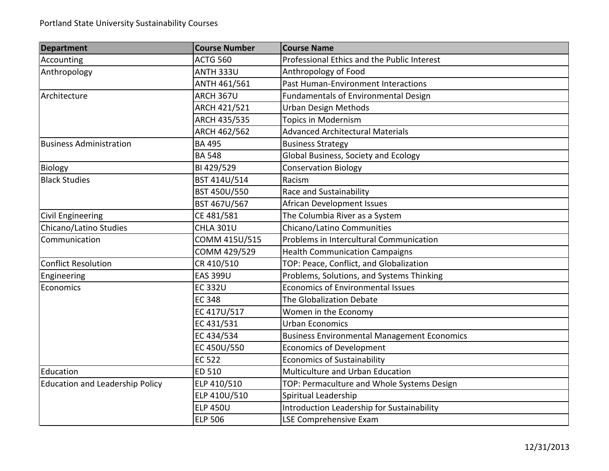| <b>Department</b>                      | <b>Course Number</b> | <b>Course Name</b>                                 |
|----------------------------------------|----------------------|----------------------------------------------------|
| Accounting                             | <b>ACTG 560</b>      | Professional Ethics and the Public Interest        |
| Anthropology                           | <b>ANTH 333U</b>     | Anthropology of Food                               |
|                                        | ANTH 461/561         | Past Human-Environment Interactions                |
| Architecture                           | ARCH 367U            | Fundamentals of Environmental Design               |
|                                        | ARCH 421/521         | <b>Urban Design Methods</b>                        |
|                                        | ARCH 435/535         | Topics in Modernism                                |
|                                        | ARCH 462/562         | <b>Advanced Architectural Materials</b>            |
| <b>Business Administration</b>         | <b>BA 495</b>        | <b>Business Strategy</b>                           |
|                                        | <b>BA 548</b>        | Global Business, Society and Ecology               |
| Biology                                | BI 429/529           | <b>Conservation Biology</b>                        |
| <b>Black Studies</b>                   | BST 414U/514         | Racism                                             |
|                                        | BST 450U/550         | Race and Sustainability                            |
|                                        | BST 467U/567         | African Development Issues                         |
| <b>Civil Engineering</b>               | CE 481/581           | The Columbia River as a System                     |
| Chicano/Latino Studies                 | <b>CHLA 301U</b>     | Chicano/Latino Communities                         |
| Communication                          | COMM 415U/515        | Problems in Intercultural Communication            |
|                                        | COMM 429/529         | <b>Health Communication Campaigns</b>              |
| <b>Conflict Resolution</b>             | CR 410/510           | TOP: Peace, Conflict, and Globalization            |
| Engineering                            | <b>EAS 399U</b>      | Problems, Solutions, and Systems Thinking          |
| Economics                              | <b>EC 332U</b>       | <b>Economics of Environmental Issues</b>           |
|                                        | <b>EC 348</b>        | The Globalization Debate                           |
|                                        | EC 417U/517          | Women in the Economy                               |
|                                        | EC 431/531           | <b>Urban Economics</b>                             |
|                                        | EC 434/534           | <b>Business Environmental Management Economics</b> |
|                                        | EC 450U/550          | <b>Economics of Development</b>                    |
|                                        | <b>EC 522</b>        | <b>Economics of Sustainability</b>                 |
| Education                              | ED 510               | Multiculture and Urban Education                   |
| <b>Education and Leadership Policy</b> | ELP 410/510          | TOP: Permaculture and Whole Systems Design         |
|                                        | ELP 410U/510         | Spiritual Leadership                               |
|                                        | <b>ELP 450U</b>      | Introduction Leadership for Sustainability         |
|                                        | <b>ELP 506</b>       | LSE Comprehensive Exam                             |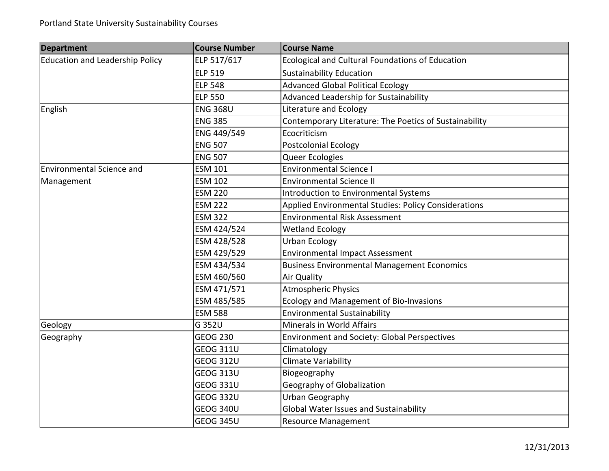| <b>Department</b>                      | <b>Course Number</b> | <b>Course Name</b>                                     |
|----------------------------------------|----------------------|--------------------------------------------------------|
| <b>Education and Leadership Policy</b> | ELP 517/617          | Ecological and Cultural Foundations of Education       |
|                                        | <b>ELP 519</b>       | <b>Sustainability Education</b>                        |
|                                        | <b>ELP 548</b>       | <b>Advanced Global Political Ecology</b>               |
|                                        | <b>ELP 550</b>       | Advanced Leadership for Sustainability                 |
| English                                | <b>ENG 368U</b>      | Literature and Ecology                                 |
|                                        | <b>ENG 385</b>       | Contemporary Literature: The Poetics of Sustainability |
|                                        | ENG 449/549          | Ecocriticism                                           |
|                                        | <b>ENG 507</b>       | <b>Postcolonial Ecology</b>                            |
|                                        | <b>ENG 507</b>       | Queer Ecologies                                        |
| <b>Environmental Science and</b>       | <b>ESM 101</b>       | <b>Environmental Science I</b>                         |
| Management                             | <b>ESM 102</b>       | <b>Environmental Science II</b>                        |
|                                        | <b>ESM 220</b>       | Introduction to Environmental Systems                  |
|                                        | <b>ESM 222</b>       | Applied Environmental Studies: Policy Considerations   |
|                                        | <b>ESM 322</b>       | <b>Environmental Risk Assessment</b>                   |
|                                        | ESM 424/524          | <b>Wetland Ecology</b>                                 |
|                                        | ESM 428/528          | <b>Urban Ecology</b>                                   |
|                                        | ESM 429/529          | <b>Environmental Impact Assessment</b>                 |
|                                        | ESM 434/534          | <b>Business Environmental Management Economics</b>     |
|                                        | ESM 460/560          | <b>Air Quality</b>                                     |
|                                        | ESM 471/571          | <b>Atmospheric Physics</b>                             |
|                                        | ESM 485/585          | Ecology and Management of Bio-Invasions                |
|                                        | <b>ESM 588</b>       | <b>Environmental Sustainability</b>                    |
| Geology                                | G 352U               | Minerals in World Affairs                              |
| Geography                              | <b>GEOG 230</b>      | <b>Environment and Society: Global Perspectives</b>    |
|                                        | <b>GEOG 311U</b>     | Climatology                                            |
|                                        | <b>GEOG 312U</b>     | <b>Climate Variability</b>                             |
|                                        | <b>GEOG 313U</b>     | Biogeography                                           |
|                                        | <b>GEOG 331U</b>     | Geography of Globalization                             |
|                                        | <b>GEOG 332U</b>     | Urban Geography                                        |
|                                        | <b>GEOG 340U</b>     | Global Water Issues and Sustainability                 |
|                                        | <b>GEOG 345U</b>     | <b>Resource Management</b>                             |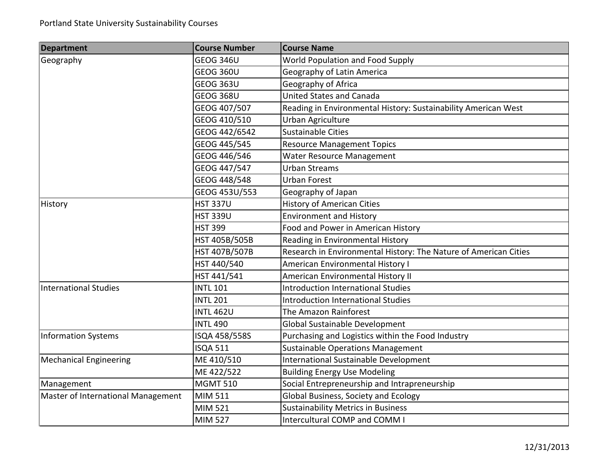| <b>Department</b>                  | <b>Course Number</b> | <b>Course Name</b>                                               |
|------------------------------------|----------------------|------------------------------------------------------------------|
| Geography                          | <b>GEOG 346U</b>     | World Population and Food Supply                                 |
|                                    | GEOG 360U            | Geography of Latin America                                       |
|                                    | GEOG 363U            | Geography of Africa                                              |
|                                    | <b>GEOG 368U</b>     | <b>United States and Canada</b>                                  |
|                                    | GEOG 407/507         | Reading in Environmental History: Sustainability American West   |
|                                    | GEOG 410/510         | Urban Agriculture                                                |
|                                    | GEOG 442/6542        | Sustainable Cities                                               |
|                                    | GEOG 445/545         | <b>Resource Management Topics</b>                                |
|                                    | GEOG 446/546         | Water Resource Management                                        |
|                                    | GEOG 447/547         | <b>Urban Streams</b>                                             |
|                                    | GEOG 448/548         | <b>Urban Forest</b>                                              |
|                                    | GEOG 453U/553        | Geography of Japan                                               |
| History                            | <b>HST 337U</b>      | <b>History of American Cities</b>                                |
|                                    | <b>HST 339U</b>      | <b>Environment and History</b>                                   |
|                                    | <b>HST 399</b>       | Food and Power in American History                               |
|                                    | HST 405B/505B        | Reading in Environmental History                                 |
|                                    | HST 407B/507B        | Research in Environmental History: The Nature of American Cities |
|                                    | HST 440/540          | American Environmental History I                                 |
|                                    | HST 441/541          | American Environmental History II                                |
| <b>International Studies</b>       | <b>INTL 101</b>      | <b>Introduction International Studies</b>                        |
|                                    | <b>INTL 201</b>      | <b>Introduction International Studies</b>                        |
|                                    | <b>INTL 462U</b>     | The Amazon Rainforest                                            |
|                                    | <b>INTL 490</b>      | Global Sustainable Development                                   |
| <b>Information Systems</b>         | ISQA 458/558S        | Purchasing and Logistics within the Food Industry                |
|                                    | <b>ISQA 511</b>      | <b>Sustainable Operations Management</b>                         |
| <b>Mechanical Engineering</b>      | ME 410/510           | International Sustainable Development                            |
|                                    | ME 422/522           | <b>Building Energy Use Modeling</b>                              |
| Management                         | <b>MGMT 510</b>      | Social Entrepreneurship and Intrapreneurship                     |
| Master of International Management | MIM 511              | Global Business, Society and Ecology                             |
|                                    | <b>MIM 521</b>       | <b>Sustainability Metrics in Business</b>                        |
|                                    | <b>MIM 527</b>       | Intercultural COMP and COMM I                                    |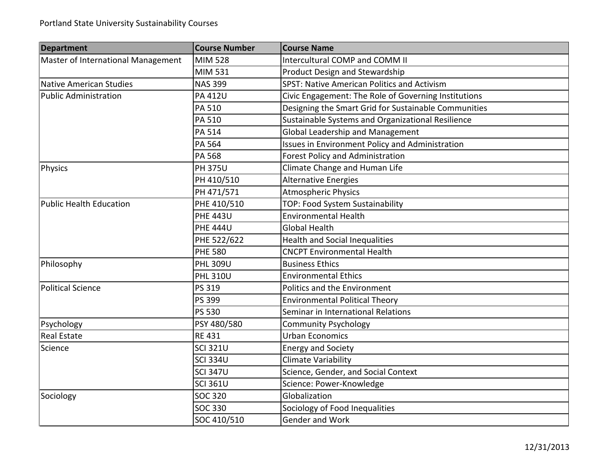| <b>Department</b>                  | <b>Course Number</b> | <b>Course Name</b>                                     |
|------------------------------------|----------------------|--------------------------------------------------------|
| Master of International Management | <b>MIM 528</b>       | Intercultural COMP and COMM II                         |
|                                    | MIM 531              | Product Design and Stewardship                         |
| Native American Studies            | <b>NAS 399</b>       | <b>SPST: Native American Politics and Activism</b>     |
| <b>Public Administration</b>       | <b>PA 412U</b>       | Civic Engagement: The Role of Governing Institutions   |
|                                    | PA 510               | Designing the Smart Grid for Sustainable Communities   |
|                                    | <b>PA 510</b>        | Sustainable Systems and Organizational Resilience      |
|                                    | <b>PA 514</b>        | Global Leadership and Management                       |
|                                    | PA 564               | <b>Issues in Environment Policy and Administration</b> |
|                                    | PA 568               | Forest Policy and Administration                       |
| Physics                            | <b>PH 375U</b>       | Climate Change and Human Life                          |
|                                    | PH 410/510           | <b>Alternative Energies</b>                            |
|                                    | PH 471/571           | <b>Atmospheric Physics</b>                             |
| <b>Public Health Education</b>     | PHE 410/510          | TOP: Food System Sustainability                        |
|                                    | <b>PHE 443U</b>      | <b>Environmental Health</b>                            |
|                                    | <b>PHE 444U</b>      | <b>Global Health</b>                                   |
|                                    | PHE 522/622          | <b>Health and Social Inequalities</b>                  |
|                                    | <b>PHE 580</b>       | <b>CNCPT Environmental Health</b>                      |
| Philosophy                         | <b>PHL 309U</b>      | <b>Business Ethics</b>                                 |
|                                    | <b>PHL 310U</b>      | <b>Environmental Ethics</b>                            |
| <b>Political Science</b>           | PS 319               | Politics and the Environment                           |
|                                    | PS 399               | <b>Environmental Political Theory</b>                  |
|                                    | <b>PS 530</b>        | Seminar in International Relations                     |
| Psychology                         | PSY 480/580          | <b>Community Psychology</b>                            |
| <b>Real Estate</b>                 | <b>RE 431</b>        | <b>Urban Economics</b>                                 |
| Science                            | <b>SCI 321U</b>      | <b>Energy and Society</b>                              |
|                                    | <b>SCI 334U</b>      | <b>Climate Variability</b>                             |
|                                    | <b>SCI 347U</b>      | Science, Gender, and Social Context                    |
|                                    | <b>SCI 361U</b>      | Science: Power-Knowledge                               |
| Sociology                          | <b>SOC 320</b>       | Globalization                                          |
|                                    | <b>SOC 330</b>       | Sociology of Food Inequalities                         |
|                                    | SOC 410/510          | Gender and Work                                        |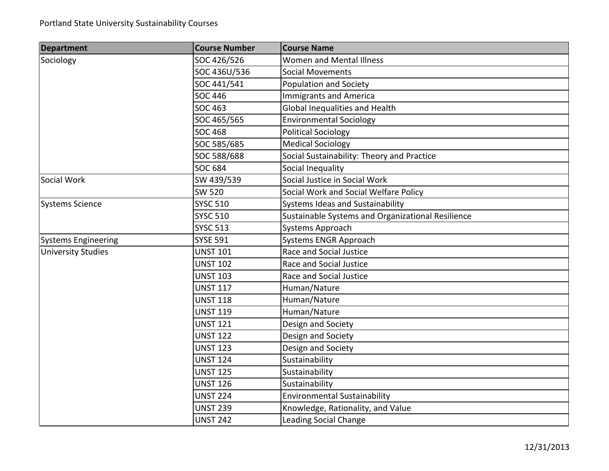| <b>Department</b>          | <b>Course Number</b> | <b>Course Name</b>                                |
|----------------------------|----------------------|---------------------------------------------------|
| Sociology                  | SOC 426/526          | Women and Mental Illness                          |
|                            | SOC 436U/536         | <b>Social Movements</b>                           |
|                            | SOC 441/541          | Population and Society                            |
|                            | <b>SOC 446</b>       | <b>Immigrants and America</b>                     |
|                            | <b>SOC 463</b>       | Global Inequalities and Health                    |
|                            | SOC 465/565          | <b>Environmental Sociology</b>                    |
|                            | <b>SOC 468</b>       | <b>Political Sociology</b>                        |
|                            | SOC 585/685          | <b>Medical Sociology</b>                          |
|                            | SOC 588/688          | Social Sustainability: Theory and Practice        |
|                            | <b>SOC 684</b>       | Social Inequality                                 |
| Social Work                | SW 439/539           | Social Justice in Social Work                     |
|                            | <b>SW 520</b>        | Social Work and Social Welfare Policy             |
| Systems Science            | <b>SYSC 510</b>      | Systems Ideas and Sustainability                  |
|                            | <b>SYSC 510</b>      | Sustainable Systems and Organizational Resilience |
|                            | <b>SYSC 513</b>      | Systems Approach                                  |
| <b>Systems Engineering</b> | <b>SYSE 591</b>      | <b>Systems ENGR Approach</b>                      |
| <b>University Studies</b>  | <b>UNST 101</b>      | Race and Social Justice                           |
|                            | <b>UNST 102</b>      | Race and Social Justice                           |
|                            | <b>UNST 103</b>      | Race and Social Justice                           |
|                            | <b>UNST 117</b>      | Human/Nature                                      |
|                            | <b>UNST 118</b>      | Human/Nature                                      |
|                            | <b>UNST 119</b>      | Human/Nature                                      |
|                            | <b>UNST 121</b>      | Design and Society                                |
|                            | <b>UNST 122</b>      | Design and Society                                |
|                            | <b>UNST 123</b>      | Design and Society                                |
|                            | <b>UNST 124</b>      | Sustainability                                    |
|                            | <b>UNST 125</b>      | Sustainability                                    |
|                            | <b>UNST 126</b>      | Sustainability                                    |
|                            | <b>UNST 224</b>      | <b>Environmental Sustainability</b>               |
|                            | <b>UNST 239</b>      | Knowledge, Rationality, and Value                 |
|                            | <b>UNST 242</b>      | <b>Leading Social Change</b>                      |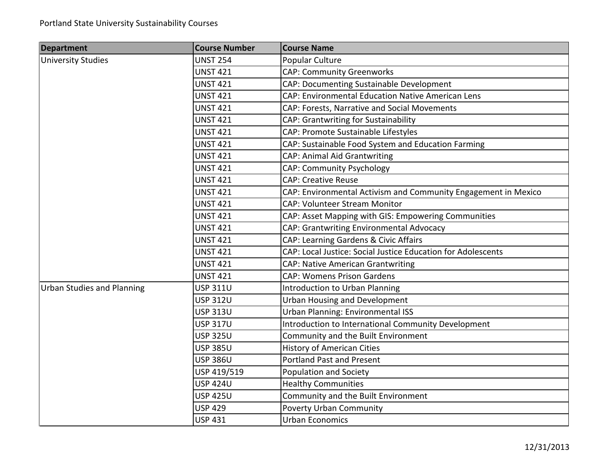| <b>Department</b>                 | <b>Course Number</b> | <b>Course Name</b>                                             |
|-----------------------------------|----------------------|----------------------------------------------------------------|
| <b>University Studies</b>         | <b>UNST 254</b>      | Popular Culture                                                |
|                                   | <b>UNST 421</b>      | <b>CAP: Community Greenworks</b>                               |
|                                   | <b>UNST 421</b>      | CAP: Documenting Sustainable Development                       |
|                                   | <b>UNST 421</b>      | CAP: Environmental Education Native American Lens              |
|                                   | <b>UNST 421</b>      | CAP: Forests, Narrative and Social Movements                   |
|                                   | <b>UNST 421</b>      | CAP: Grantwriting for Sustainability                           |
|                                   | <b>UNST 421</b>      | CAP: Promote Sustainable Lifestyles                            |
|                                   | <b>UNST 421</b>      | CAP: Sustainable Food System and Education Farming             |
|                                   | <b>UNST 421</b>      | <b>CAP: Animal Aid Grantwriting</b>                            |
|                                   | <b>UNST 421</b>      | <b>CAP: Community Psychology</b>                               |
|                                   | <b>UNST 421</b>      | <b>CAP: Creative Reuse</b>                                     |
|                                   | <b>UNST 421</b>      | CAP: Environmental Activism and Community Engagement in Mexico |
|                                   | <b>UNST 421</b>      | <b>CAP: Volunteer Stream Monitor</b>                           |
|                                   | <b>UNST 421</b>      | CAP: Asset Mapping with GIS: Empowering Communities            |
|                                   | <b>UNST 421</b>      | CAP: Grantwriting Environmental Advocacy                       |
|                                   | <b>UNST 421</b>      | CAP: Learning Gardens & Civic Affairs                          |
|                                   | <b>UNST 421</b>      | CAP: Local Justice: Social Justice Education for Adolescents   |
|                                   | <b>UNST 421</b>      | <b>CAP: Native American Grantwriting</b>                       |
|                                   | <b>UNST 421</b>      | <b>CAP: Womens Prison Gardens</b>                              |
| <b>Urban Studies and Planning</b> | <b>USP 311U</b>      | <b>Introduction to Urban Planning</b>                          |
|                                   | <b>USP 312U</b>      | <b>Urban Housing and Development</b>                           |
|                                   | <b>USP 313U</b>      | <b>Urban Planning: Environmental ISS</b>                       |
|                                   | <b>USP 317U</b>      | Introduction to International Community Development            |
|                                   | <b>USP 325U</b>      | Community and the Built Environment                            |
|                                   | <b>USP 385U</b>      | <b>History of American Cities</b>                              |
|                                   | <b>USP 386U</b>      | <b>Portland Past and Present</b>                               |
|                                   | USP 419/519          | Population and Society                                         |
|                                   | <b>USP 424U</b>      | <b>Healthy Communities</b>                                     |
|                                   | <b>USP 425U</b>      | Community and the Built Environment                            |
|                                   | <b>USP 429</b>       | <b>Poverty Urban Community</b>                                 |
|                                   | <b>USP 431</b>       | <b>Urban Economics</b>                                         |